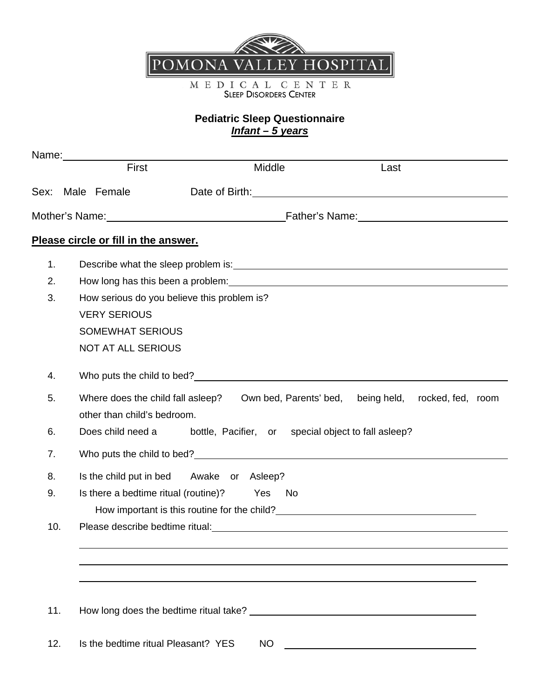

M E D I C A L C E N T E R<br>SLEEP DISORDERS CENTER

## **Pediatric Sleep Questionnaire**  *Infant – 5 years*

|     | Name: _________ |                                                                                                                                                                                                                               |           |                                                            |      |                   |  |
|-----|-----------------|-------------------------------------------------------------------------------------------------------------------------------------------------------------------------------------------------------------------------------|-----------|------------------------------------------------------------|------|-------------------|--|
|     |                 | First                                                                                                                                                                                                                         | Middle    |                                                            | Last |                   |  |
|     |                 | Sex: Male Female                                                                                                                                                                                                              |           | Date of Birth: <u>contained</u> and all the part of Birth: |      |                   |  |
|     |                 |                                                                                                                                                                                                                               |           |                                                            |      |                   |  |
|     |                 | Please circle or fill in the answer.                                                                                                                                                                                          |           |                                                            |      |                   |  |
| 1.  |                 |                                                                                                                                                                                                                               |           |                                                            |      |                   |  |
| 2.  |                 | How long has this been a problem: example the state of the state of the state of the state of the state of the                                                                                                                |           |                                                            |      |                   |  |
| 3.  |                 | How serious do you believe this problem is?                                                                                                                                                                                   |           |                                                            |      |                   |  |
|     |                 | <b>VERY SERIOUS</b>                                                                                                                                                                                                           |           |                                                            |      |                   |  |
|     |                 | <b>SOMEWHAT SERIOUS</b>                                                                                                                                                                                                       |           |                                                            |      |                   |  |
|     |                 | <b>NOT AT ALL SERIOUS</b>                                                                                                                                                                                                     |           |                                                            |      |                   |  |
| 4.  |                 |                                                                                                                                                                                                                               |           |                                                            |      |                   |  |
| 5.  |                 | Where does the child fall asleep? Own bed, Parents' bed, being held,                                                                                                                                                          |           |                                                            |      | rocked, fed, room |  |
|     |                 | other than child's bedroom.                                                                                                                                                                                                   |           |                                                            |      |                   |  |
| 6.  |                 | Does child need a                                                                                                                                                                                                             |           | bottle, Pacifier, or special object to fall as leep?       |      |                   |  |
| 7.  |                 |                                                                                                                                                                                                                               |           |                                                            |      |                   |  |
| 8.  |                 | Is the child put in bed Awake or Asleep?                                                                                                                                                                                      |           |                                                            |      |                   |  |
| 9.  |                 | Is there a bedtime ritual (routine)? Yes                                                                                                                                                                                      |           | No.                                                        |      |                   |  |
|     |                 | How important is this routine for the child?                                                                                                                                                                                  |           |                                                            |      |                   |  |
| 10. |                 | Please describe bedtime ritual: North and the set of the set of the set of the set of the set of the set of the set of the set of the set of the set of the set of the set of the set of the set of the set of the set of the |           |                                                            |      |                   |  |
|     |                 |                                                                                                                                                                                                                               |           |                                                            |      |                   |  |
|     |                 |                                                                                                                                                                                                                               |           |                                                            |      |                   |  |
|     |                 |                                                                                                                                                                                                                               |           |                                                            |      |                   |  |
|     |                 |                                                                                                                                                                                                                               |           |                                                            |      |                   |  |
| 11. |                 |                                                                                                                                                                                                                               |           |                                                            |      |                   |  |
| 12. |                 | Is the bedtime ritual Pleasant? YES                                                                                                                                                                                           | <b>NO</b> |                                                            |      |                   |  |
|     |                 |                                                                                                                                                                                                                               |           |                                                            |      |                   |  |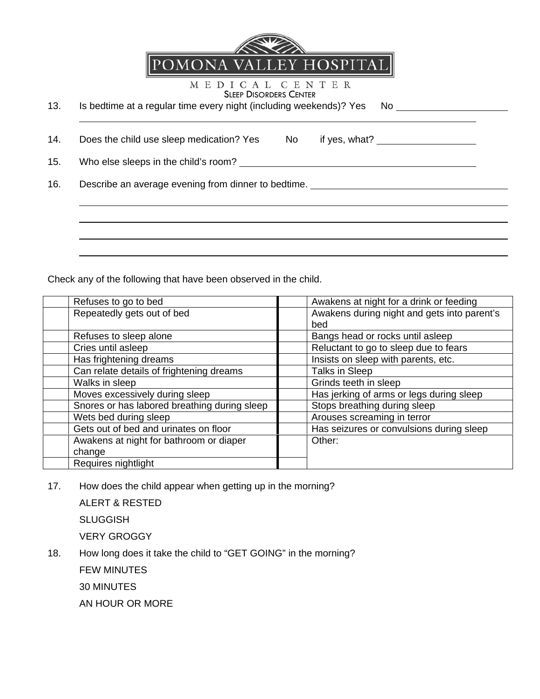

MEDICAL CENTER SLEEP DISORDERS CENTER

| 13. | Is bedtime at a regular time every night (including weekends)? Yes | - No |
|-----|--------------------------------------------------------------------|------|
|     |                                                                    |      |

14. Does the child use sleep medication? Yes No if yes, what?

15. Who else sleeps in the child's room?

 $\overline{a}$ 

 $\overline{a}$ 

16. Describe an average evening from dinner to bedtime.

Check any of the following that have been observed in the child.

| Refuses to go to bed                         | Awakens at night for a drink or feeding     |
|----------------------------------------------|---------------------------------------------|
| Repeatedly gets out of bed                   | Awakens during night and gets into parent's |
|                                              | bed                                         |
| Refuses to sleep alone                       | Bangs head or rocks until asleep            |
| Cries until asleep                           | Reluctant to go to sleep due to fears       |
| Has frightening dreams                       | Insists on sleep with parents, etc.         |
| Can relate details of frightening dreams     | Talks in Sleep                              |
| Walks in sleep                               | Grinds teeth in sleep                       |
| Moves excessively during sleep               | Has jerking of arms or legs during sleep    |
| Snores or has labored breathing during sleep | Stops breathing during sleep                |
| Wets bed during sleep                        | Arouses screaming in terror                 |
| Gets out of bed and urinates on floor        | Has seizures or convulsions during sleep    |
| Awakens at night for bathroom or diaper      | Other:                                      |
| change                                       |                                             |
| Requires nightlight                          |                                             |

17. How does the child appear when getting up in the morning?

ALERT & RESTED **SLUGGISH** VERY GROGGY

18. How long does it take the child to "GET GOING" in the morning?

FEW MINUTES

30 MINUTES

AN HOUR OR MORE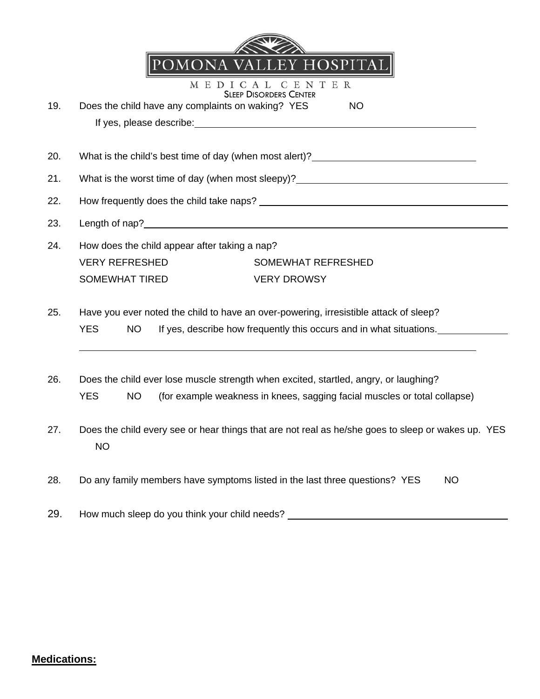| 19. | POMOÑA VALLEY HOSPITAI<br>CENTER<br>M E D I<br>C A L<br><b>SLEEP DISORDERS CENTER</b><br>Does the child have any complaints on waking? YES<br><b>NO</b>                                 |  |  |  |
|-----|-----------------------------------------------------------------------------------------------------------------------------------------------------------------------------------------|--|--|--|
| 20. | What is the child's best time of day (when most alert)? ________________________                                                                                                        |  |  |  |
| 21. | What is the worst time of day (when most sleepy)? ______________________________                                                                                                        |  |  |  |
| 22. |                                                                                                                                                                                         |  |  |  |
| 23. |                                                                                                                                                                                         |  |  |  |
| 24. | How does the child appear after taking a nap?<br><b>VERY REFRESHED</b><br><b>SOMEWHAT REFRESHED</b><br><b>SOMEWHAT TIRED</b><br><b>VERY DROWSY</b>                                      |  |  |  |
| 25. | Have you ever noted the child to have an over-powering, irresistible attack of sleep?<br><b>YES</b><br>If yes, describe how frequently this occurs and in what situations.<br><b>NO</b> |  |  |  |
| 26. | Does the child ever lose muscle strength when excited, startled, angry, or laughing?<br><b>YES</b><br>(for example weakness in knees, sagging facial muscles or total collapse)<br>NO   |  |  |  |
| 27. | Does the child every see or hear things that are not real as he/she goes to sleep or wakes up. YES<br><b>NO</b>                                                                         |  |  |  |
| 28. | Do any family members have symptoms listed in the last three questions? YES<br><b>NO</b>                                                                                                |  |  |  |

29. How much sleep do you think your child needs? \_\_\_\_\_\_\_\_\_\_\_\_\_\_\_\_\_\_\_\_\_\_\_\_\_\_\_\_\_\_

## **Medications:**